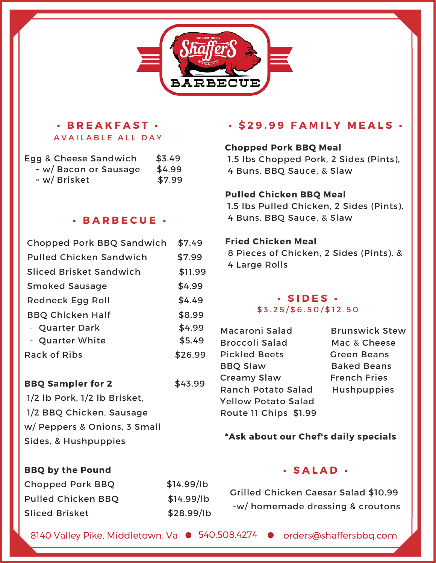

# **• B R E A K F A S T •** AVAILABLE ALL DAY

| Egg & Cheese Sandwich | \$3.49 |
|-----------------------|--------|
| ~ w/ Bacon or Sausage | \$4.99 |
| ~ w/ Brisket          | \$7.99 |

#### **• B A R B E C U E •**

| Chopped Pork BBQ Sandwich        | \$7.49  |
|----------------------------------|---------|
| <b>Pulled Chicken Sandwich</b>   | \$7.99  |
| <b>Sliced Brisket Sandwich</b>   | \$11.99 |
| <b>Smoked Sausage</b>            | \$4.99  |
| Redneck Egg Roll                 | \$4.49  |
| <b>BBQ Chicken Half</b>          | \$8.99  |
| - Quarter Dark                   | \$4.99  |
| - Quarter White                  | \$5.49  |
| Rack of Ribs                     | \$26.99 |
| <b>BBQ Sampler for 2</b>         | \$43.99 |
| $1/2$ lb Pork, $1/2$ lb Brisket, |         |
| 1/2 BBQ Chicken, Sausage         |         |
| w/ Peppers & Onions, 3 Small     |         |
| Sides, & Hushpuppies             |         |
|                                  |         |

# **• \$ 2 9 . 9 9 F A M I L Y M E A L S •**

### **Chopped Pork BBQ Meal**

1.5 lbs Chopped Pork, 2 Sides (Pints), 4 Buns, BBQ Sauce, & Slaw

### **Pulled Chicken BBQ Meal**

1.5 lbs Pulled Chicken, 2 Sides (Pints), 4 Buns, BBQ Sauce, & Slaw

### **Fried Chicken Meal**

8 Pieces of Chicken, 2 Sides (Pints), & 4 Large Rolls

### **• S I D E S •**  $$3.25/\$6.50/\$12.50$

- Macaroni Salad Brunswick Stew Broccoli Salad Mac & Cheese 9 Pickled Beets Green Beans BBQ Slaw Baked Beans Creamy Slaw French Fries Ranch Potato Salad Hushpuppies Yellow Potato Salad Route 11 Chips \$1.99
	-

### **\*Ask about our Chef's daily specials**

### **BBQ by the Pound**

# Chopped Pork BBQ \$14.99/lb Pulled Chicken BBQ \$14.99/lb Sliced Brisket \$28.99/lb

### **• S A L A D •**

Grilled Chicken Caesar Salad \$10.99 -w/ homemade dressing & croutons

8140 Valley Pike, Middletown, Va  $\bullet$  540.508.4274  $\bullet$  orders@shaffersbbq.com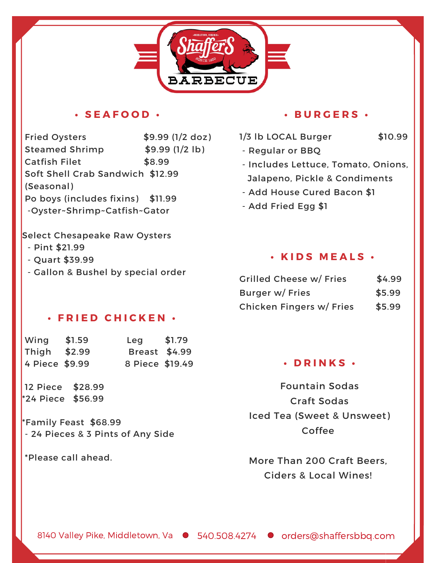

### **• S E A F O O D •**

Fried Oysters \$9.99 (1/2 doz) 1/3 lb LOCAL Burger \$10.99 Steamed Shrimp  $$9.99$  (1/2 lb) Catfish Filet \$8.99 Soft Shell Crab Sandwich \$12.99 (Seasonal) Po boys (includes fixins) \$11.99 -Oyster~Shrimp~Catfish~Gator

#### **• B U R G E R S •**

- -
- Regular or BBQ - Includes Lettuce, Tomato, Onions,
	- Jalapeno, Pickle & Condiments
	- Add House Cured Bacon \$1
	- Add Fried Egg \$1

# **• K I D S M E A L S •**

| <b>Grilled Cheese w/ Fries</b>  | \$4.99 |
|---------------------------------|--------|
| Burger w/ Fries                 | \$5.99 |
| <b>Chicken Fingers w/ Fries</b> | \$5.99 |

### **• D R I N K S •**

Fountain Sodas Craft Sodas Iced Tea (Sweet & Unsweet) Coffee

More Than 200 Craft Beers, Ciders & Local Wines!

#### Select Chesapeake Raw Oysters

- Pint \$21.99
- Quart \$39.99
- Gallon & Bushel by special order

### **• F R I E D C H I C K E N •**

| Wing           | \$1.59 | Leg             | \$1.79 |
|----------------|--------|-----------------|--------|
| Thigh \$2.99   |        | Breast \$4.99   |        |
| 4 Piece \$9.99 |        | 8 Piece \$19.49 |        |

12 Piece \$28.99 \*24 Piece \$56.99

\*Family Feast \$68.99 - 24 Pieces & 3 Pints of Any Side

\*Please call ahead.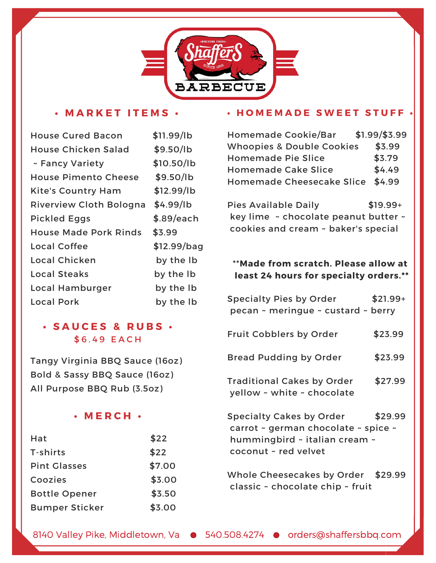

### **• M A R K E T I T E M S •**

| <b>House Cured Bacon</b>       | \$11.99/lb  |
|--------------------------------|-------------|
| <b>House Chicken Salad</b>     | \$9.50/lb   |
| ~ Fancy Variety                | \$10.50/lb  |
| <b>House Pimento Cheese</b>    | \$9.50/lb   |
| <b>Kite's Country Ham</b>      | \$12.99/lb  |
| <b>Riverview Cloth Bologna</b> | \$4.99/lb   |
| <b>Pickled Eggs</b>            | \$.89/each  |
| <b>House Made Pork Rinds</b>   | \$3.99      |
| Local Coffee                   | \$12.99/bag |
| Local Chicken                  | by the Ib   |
| <b>Local Steaks</b>            | by the Ib   |
| Local Hamburger                | by the Ib   |
| <b>Local Pork</b>              | by the Ib   |

# **• S A U C E S & R U B S •** \$ 6 . 4 9 E A C H

Tangy Virginia BBQ Sauce (16oz) Bold & Sassy BBQ Sauce (16oz) All Purpose BBQ Rub (3.5oz)

### **• M E R C H •**

| Hat                   | \$22   |
|-----------------------|--------|
| T-shirts              | \$22   |
| <b>Pint Glasses</b>   | \$7.00 |
| Coozies               | \$3.00 |
| <b>Bottle Opener</b>  | \$3.50 |
| <b>Bumper Sticker</b> | \$3.00 |

#### **• H O M E M A D E S W E E T S T U F F •**

| <b>Homemade Cookie/Bar</b>           | $$1.99$ /\$3.99<br>$\mathbb{R}^2$ |
|--------------------------------------|-----------------------------------|
| <b>Whoopies &amp; Double Cookies</b> | \$3.99                            |
| <b>Homemade Pie Slice</b>            | \$3.79                            |
| <b>Homemade Cake Slice</b>           | \$4.49                            |
| Homemade Cheesecake Slice \$4.99     |                                   |

Pies Available Daily \$19.99+ key lime ~ chocolate peanut butter ~ cookies and cream ~ baker's special

### \*\***Made from scratch. Please allow at least 24 hours for specialty orders.\*\***

| <b>Specialty Pies by Order</b><br>pecan ~ meringue ~ custard ~ berry                                                     | $$21.99+$ |
|--------------------------------------------------------------------------------------------------------------------------|-----------|
| Fruit Cobblers by Order                                                                                                  | \$23.99   |
| <b>Bread Pudding by Order</b>                                                                                            | \$23.99   |
| <b>Traditional Cakes by Order</b><br>yellow ~ white ~ chocolate                                                          | \$27.99   |
| Specialty Cakes by Order<br>carrot ~ german chocolate ~ spice ~<br>hummingbird ~ italian cream ~<br>coconut ~ red velvet | \$29.99   |
| Whole Cheesecakes by Order \$29.99<br>classic ~ chocolate chip ~ fruit                                                   |           |